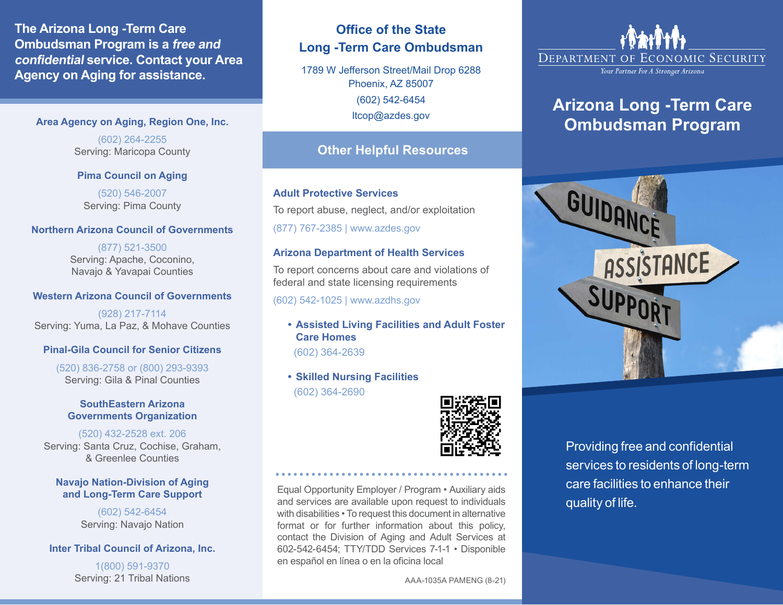**The Arizona Long -Term Care Ombudsman Program is a free and confidential service. Contact your Area Agency on Aging for assistance.** 

### **Area Agency on Aging, Region One, Inc.**

(602) 264-2255 Serving: Maricopa County

## **Pima Council on Aging**

(520) 546-2007 Serving: Pima County

## **Northern Arizona Council of Governments**

(877) 521-3500 Serving: Apache, Coconino, Navajo & Yavapai Counties

## **Western Arizona Council of Governments**

(928) 217-7114 Serving: Yuma, La Paz, & Mohave Counties

## **Pinal-Gila Council for Senior Citizens**

(520) 836-2758 or (800) 293-9393 Serving: Gila & Pinal Counties

### **SouthEastern Arizona Governments Organization**

(520) 432-2528 ext. 206 Serving: Santa Cruz, Cochise, Graham, & Greenlee Counties

### **Navajo Nation-Division of Aging and Long-Term Care Support**

(602) 542-6454 Serving: Navajo Nation

## **Inter Tribal Council of Arizona, Inc.**

1(800) 591-9370 Serving: 21 Tribal Nations

## **Office of the State Long -Term Care Ombudsman**

1789 W Jefferson Street/Mail Drop 6288 Phoenix, AZ 85007 (602) 542-6454 [ltcop@azdes.gov](mailto:ltcop@azdes.gov) 

## **Other Helpful Resources**

### **Adult Protective Services**

To report abuse, neglect, and/or exploitation

(877) 767-2385 |<www.azdes.gov>

## **Arizona Department of Health Services**

To report concerns about care and violations of federal and state licensing requirements

(602) 542-1025 |<www.azdhs.gov>

- **Assisted Living Facilities and Adult Foster Care Homes**  (602) 364-2639
- **Skilled Nursing Facilities**  (602) 364-2690



Equal Opportunity Employer / Program • Auxiliary aids and services are available upon request to individuals with disabilities • To request this document in alternative format or for further information about this policy, contact the Division of Aging and Adult Services at 602-542-6454; TTY/TDD Services 7-1-1 • Disponible en español en línea o en la oficina local

•••••••••••••••••••••••••••••••••••••••

AAA-1035A PAMENG (8-21)



Your Partner For A Stronger Arizona

## **Arizona Long -Term Care Ombudsman Program**



Providing free and confidential services to residents of long-term care facilities to enhance their quality of life.